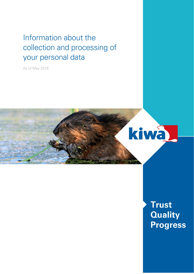# Information about the collection and processing of your personal data

As of May 2018



**Trust Quality Progress**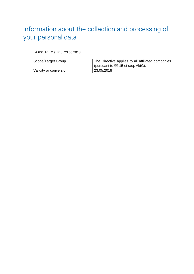# Information about the collection and processing of your personal data

A 601 Anl. 2 e\_R.0\_23.05.2018

| Scope/Target Group     | The Directive applies to all affiliated companies |
|------------------------|---------------------------------------------------|
|                        | <sup>1</sup> (pursuant to §§ 15 et seq. AktG).    |
| Validity or conversion | 23.05.2018                                        |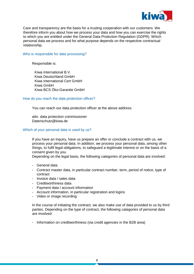

Care and transparency are the basis for a trusting cooperation with our customers. We therefore inform you about how we process your data and how you can exercise the rights to which you are entitled under the General Data Protection Regulation (GDPR). Which personal data we process and for what purpose depends on the respective contractual relationship.

#### Who is responsible for data processing?

Responsible is:

Kiwa International B.V. Kiwa Deutschland GmbH Kiwa International Cert GmbH Kiwa GmbH Kiwa BCS Öko-Garantie GmbH

# How do you reach the data protection officer?

You can reach our data protection officer at the above address:

attn. data protection commissioner Datenschutz@kiwa.de

#### Which of your personal data is used by us?

If you have an inquiry, have us prepare an offer or conclude a contract with us, we process your personal data. In addition, we process your personal data, among other things, to fulfil legal obligations, to safeguard a legitimate interest or on the basis of a consent given by you.

Depending on the legal basis, the following categories of personal data are involved:

- General data
- Contract master data, in particular contract number, term, period of notice, type of contract
- Invoice data / sales data
- Creditworthiness data
- Payment data / account information
- Account information, in particular registration and logins
- Video or image recording

In the course of initiating the contract, we also make use of data provided to us by third parties. Depending on the type of contract, the following categories of personal data are involved:

- Information on creditworthiness (via credit agencies in the B2B area)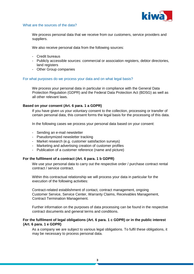

#### What are the sources of the data?

We process personal data that we receive from our customers, service providers and suppliers.

We also receive personal data from the following sources:

- Credit bureaus
- Publicly accessible sources: commercial or association registers, debtor directories, land registers
- Other Group companies

# For what purposes do we process your data and on what legal basis?

We process your personal data in particular in compliance with the General Data Protection Regulation (GDPR) and the Federal Data Protection Act (BDSG) as well as all other relevant laws.

# **Based on your consent (Art. 6 para. 1 a GDPR)**

If you have given us your voluntary consent to the collection, processing or transfer of certain personal data, this consent forms the legal basis for the processing of this data.

In the following cases we process your personal data based on your consent:

- Sending an e-mail newsletter
- Pseudonymized newsletter tracking
- Market research (e.g. customer satisfaction surveys)
- Marketing and advertising creation of customer profiles
- Publication of a customer reference (name and picture)

# **For the fulfilment of a contract (Art. 6 para. 1 b GDPR)**

We use your personal data to carry out the respective order / purchase contract rental contract / service contract.

Within this contractual relationship we will process your data in particular for the execution of the following activities:

Contract-related establishment of contact, contract management, ongoing Customer Service, Service Center, Warranty Claims, Receivables Management, Contract Termination Management.

Further information on the purposes of data processing can be found in the respective contract documents and general terms and conditions.

# **For the fulfilment of legal obligations (Art. 6 para. 1 c GDPR) or in the public interest (Art. 6 para. 1 e GDPR)**

As a company we are subject to various legal obligations. To fulfil these obligations, it may be necessary to process personal data.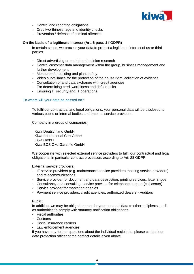

- Control and reporting obligations
- Creditworthiness, age and identity checks
- Prevention / defense of criminal offences

# **On the basis of a legitimate interest (Art. 6 para. 1 f GDPR)**

In certain cases, we process your data to protect a legitimate interest of us or third parties.

- Direct advertising or market and opinion research
- Central customer data management within the group, business management and further development
- Measures for building and plant safety
- Video surveillance for the protection of the house right, collection of evidence
- Consultation of and data exchange with credit agencies
- For determining creditworthiness and default risks
- Ensuring IT security and IT operations

# To whom will your data be passed on?

To fulfil our contractual and legal obligations, your personal data will be disclosed to various public or internal bodies and external service providers.

#### Company in a group of companies:

Kiwa Deutschland GmbH Kiwa International Cert GmbH Kiwa GmbH Kiwa BCS Öko-Garantie GmbH

We cooperate with selected external service providers to fulfil our contractual and legal obligations, in particular contract processors according to Art. 28 GDPR:

External service providers:

- IT service providers (e.g. maintenance service providers, hosting service providers) and telecommunications
- Service provider for document and data destruction, printing services, letter shops
- Consultancy and consulting, service provider for telephone support (call center)
- Service provider for marketing or sales
- Payment service providers, credit agencies, authorized dealers Auditors

# Public:

In addition, we may be obliged to transfer your personal data to other recipients, such as authorities to comply with statutory notification obligations.

- Fiscal authorities
- Customs
- Social insurance carriers
- Law enforcement agencies

If you have any further questions about the individual recipients, please contact our data protection officer at the contact details given above.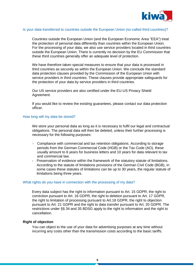

#### Is your data transferred to countries outside the European Union (so-called third countries)?

Countries outside the European Union (and the European Economic Area "EEA") treat the protection of personal data differently than countries within the European Union. For the processing of your data, we also use service providers located in third countries outside the European Union. There is currently no decision by the EU Commission that these third countries generally offer an adequate level of protection.

We have therefore taken special measures to ensure that your data is processed in third countries as securely as within the European Union. We conclude the standard data protection clauses provided by the Commission of the European Union with service providers in third countries. These clauses provide appropriate safeguards for the protection of your data by service providers in third countries.

Our US service providers are also certified under the EU-US Privacy Shield Agreement.

If you would like to review the existing guarantees, please contact our data protection officer.

# How long will my data be stored?

We store your personal data as long as it is necessary to fulfil our legal and contractual obligations. The personal data will then be deleted, unless their further processing is necessary for the following purposes:

- Compliance with commercial and tax retention obligations. According to storage periods from the German Commercial Code (HGB) or the Tax Code (AO), these usually amount to 6 years for business letters and 10 years for data relevant to tax and commercial law.
- Preservation of evidence within the framework of the statutory statute of limitations. According to the statute of limitations provisions of the German Civil Code (BGB), in some cases these statutes of limitations can be up to 30 years, the regular statute of limitations being three years.

#### What rights do you have in connection with the processing of my data?

Every data subject has the right to information pursuant to Art. 15 GDPR, the right to correction pursuant to Art. 16 GDPR, the right to deletion pursuant to Art. 17 GDPR, the right to limitation of processing pursuant to Art.18 GDPR, the right to objection pursuant to Art. 21 GDPR and the right to data transfer pursuant to Art. 20 GDPR. The restrictions under §§ 34 and 35 BDSG apply to the right to information and the right to cancellation.

#### **Right of objection**

You can object to the use of your data for advertising purposes at any time without incurring any costs other than the transmission costs according to the basic tariffs.